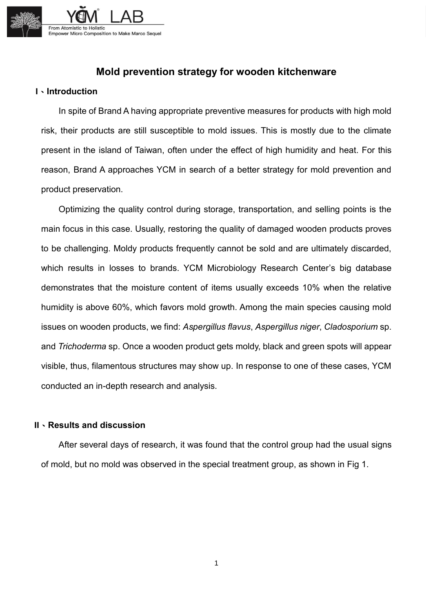

## **Mold prevention strategy for wooden kitchenware**

## **I**、**Introduction**

In spite of Brand A having appropriate preventive measures for products with high mold risk, their products are still susceptible to mold issues. This is mostly due to the climate present in the island of Taiwan, often under the effect of high humidity and heat. For this reason, Brand A approaches YCM in search of a better strategy for mold prevention and product preservation.

Optimizing the quality control during storage, transportation, and selling points is the main focus in this case. Usually, restoring the quality of damaged wooden products proves to be challenging. Moldy products frequently cannot be sold and are ultimately discarded, which results in losses to brands. YCM Microbiology Research Center's big database demonstrates that the moisture content of items usually exceeds 10% when the relative humidity is above 60%, which favors mold growth. Among the main species causing mold issues on wooden products, we find: *Aspergillus flavus*, *Aspergillus niger*, *Cladosporium* sp. and *Trichoderma* sp. Once a wooden product gets moldy, black and green spots will appear visible, thus, filamentous structures may show up. In response to one of these cases, YCM conducted an in-depth research and analysis.

## **II**、**Results and discussion**

 After several days of research, it was found that the control group had the usual signs of mold, but no mold was observed in the special treatment group, as shown in Fig 1.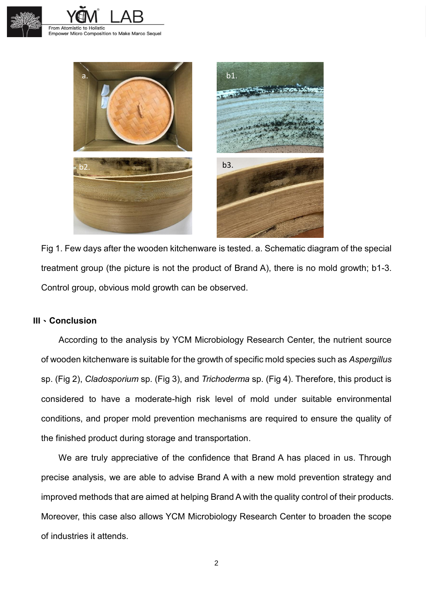





Fig 1. Few days after the wooden kitchenware is tested. a. Schematic diagram of the special treatment group (the picture is not the product of Brand A), there is no mold growth; b1-3. Control group, obvious mold growth can be observed.

## **III**、**Conclusion**

 According to the analysis by YCM Microbiology Research Center, the nutrient source of wooden kitchenware is suitable for the growth of specific mold species such as *Aspergillus* sp. (Fig 2), *Cladosporium* sp. (Fig 3), and *Trichoderma* sp. (Fig 4). Therefore, this product is considered to have a moderate-high risk level of mold under suitable environmental conditions, and proper mold prevention mechanisms are required to ensure the quality of the finished product during storage and transportation.

 We are truly appreciative of the confidence that Brand A has placed in us. Through precise analysis, we are able to advise Brand A with a new mold prevention strategy and improved methods that are aimed at helping Brand A with the quality control of their products. Moreover, this case also allows YCM Microbiology Research Center to broaden the scope of industries it attends.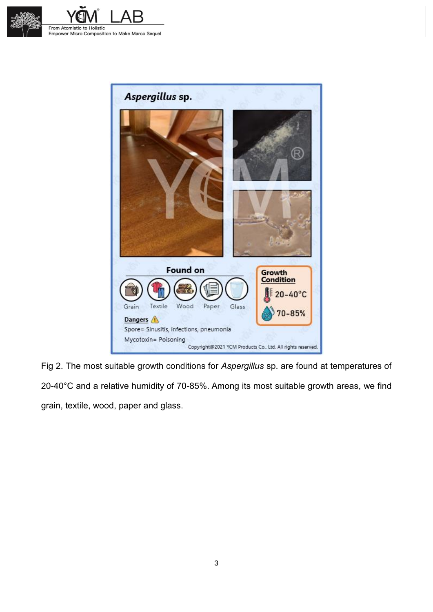





Fig 2. The most suitable growth conditions for *Aspergillus* sp. are found at temperatures of 20-40°C and a relative humidity of 70-85%. Among its most suitable growth areas, we find grain, textile, wood, paper and glass.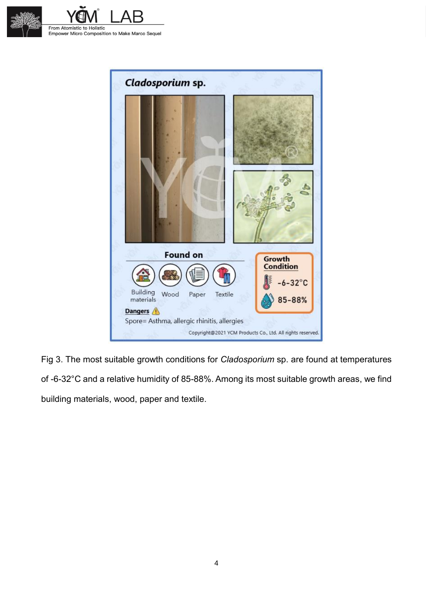





Fig 3. The most suitable growth conditions for *Cladosporium* sp. are found at temperatures of -6-32°C and a relative humidity of 85-88%. Among its most suitable growth areas, we find building materials, wood, paper and textile.